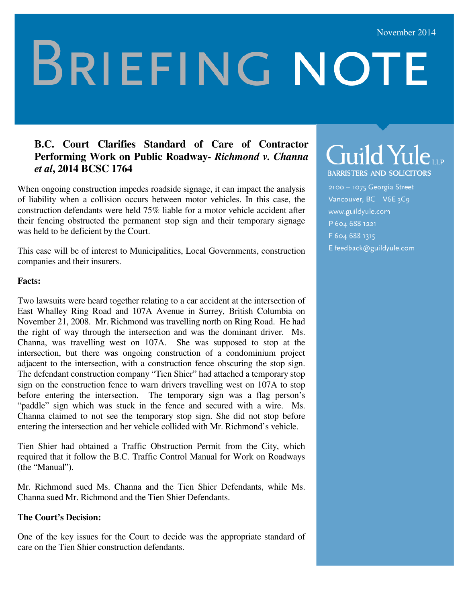# **BRIEFING NOTE**

#### **B.C. Court Clarifies Standard of Care of Contractor Performing Work on Public Roadway-** *Richmond v. Channa et al***, 2014 BCSC 1764**

When ongoing construction impedes roadside signage, it can impact the analysis of liability when a collision occurs between motor vehicles. In this case, the construction defendants were held 75% liable for a motor vehicle accident after their fencing obstructed the permanent stop sign and their temporary signage was held to be deficient by the Court.

This case will be of interest to Municipalities, Local Governments, construction companies and their insurers.

#### **Facts:**

Two lawsuits were heard together relating to a car accident at the intersection of East Whalley Ring Road and 107A Avenue in Surrey, British Columbia on November 21, 2008. Mr. Richmond was travelling north on Ring Road. He had the right of way through the intersection and was the dominant driver. Ms. Channa, was travelling west on 107A. She was supposed to stop at the intersection, but there was ongoing construction of a condominium project adjacent to the intersection, with a construction fence obscuring the stop sign. The defendant construction company "Tien Shier" had attached a temporary stop sign on the construction fence to warn drivers travelling west on 107A to stop before entering the intersection. The temporary sign was a flag person's "paddle" sign which was stuck in the fence and secured with a wire. Ms. Channa claimed to not see the temporary stop sign. She did not stop before entering the intersection and her vehicle collided with Mr. Richmond's vehicle.

Tien Shier had obtained a Traffic Obstruction Permit from the City, which required that it follow the B.C. Traffic Control Manual for Work on Roadways (the "Manual").

Mr. Richmond sued Ms. Channa and the Tien Shier Defendants, while Ms. Channa sued Mr. Richmond and the Tien Shier Defendants.

#### **The Court's Decision:**

One of the key issues for the Court to decide was the appropriate standard of care on the Tien Shier construction defendants.

# Guild Yuleur

**BARRISTERS AND SOLICITORS** 

2100 - 1075 Georgia Street Vancouver, BC V6E 3C9 www.guildyule.com P 604 688 1221 F 604 688 1315 E feedback@guildyule.com